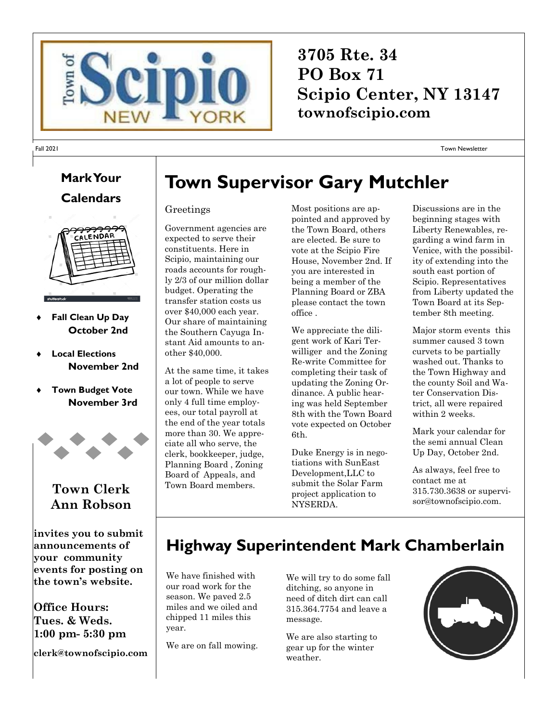

## **3705 Rte. 34 PO Box 71 Scipio Center, NY 13147 townofscipio.com**

Town Newsletter

## **Mark Your Calendars**

Fall 2021



- **Fall Clean Up Day October 2nd**
- **Local Elections November 2nd**
- **Town Budget Vote November 3rd**



#### **Town Clerk Ann Robson**

**invites you to submit announcements of your community events for posting on the town's website.**

**Office Hours: Tues. & Weds. 1:00 pm- 5:30 pm**

**clerk@townofscipio.com**

# **Town Supervisor Gary Mutchler**

#### Greetings

Government agencies are expected to serve their constituents. Here in Scipio, maintaining our roads accounts for roughly 2/3 of our million dollar budget. Operating the transfer station costs us over \$40,000 each year. Our share of maintaining the Southern Cayuga Instant Aid amounts to another \$40,000.

At the same time, it takes a lot of people to serve our town. While we have only 4 full time employees, our total payroll at the end of the year totals more than 30. We appreciate all who serve, the clerk, bookkeeper, judge, Planning Board , Zoning Board of Appeals, and Town Board members.

Most positions are appointed and approved by the Town Board, others are elected. Be sure to vote at the Scipio Fire House, November 2nd. If you are interested in being a member of the Planning Board or ZBA please contact the town office .

We appreciate the diligent work of Kari Terwilliger and the Zoning Re-write Committee for completing their task of updating the Zoning Ordinance. A public hearing was held September 8th with the Town Board vote expected on October 6th.

Duke Energy is in negotiations with SunEast Development,LLC to submit the Solar Farm project application to NYSERDA.

Discussions are in the beginning stages with Liberty Renewables, regarding a wind farm in Venice, with the possibility of extending into the south east portion of Scipio. Representatives from Liberty updated the Town Board at its September 8th meeting.

Major storm events this summer caused 3 town curvets to be partially washed out. Thanks to the Town Highway and the county Soil and Water Conservation District, all were repaired within 2 weeks.

Mark your calendar for the semi annual Clean Up Day, October 2nd.

As always, feel free to contact me at 315.730.3638 or supervisor@townofscipio.com.

## **Highway Superintendent Mark Chamberlain**

We have finished with our road work for the season. We paved 2.5 miles and we oiled and chipped 11 miles this year.

We are on fall mowing.

We will try to do some fall ditching, so anyone in need of ditch dirt can call 315.364.7754 and leave a message.

We are also starting to gear up for the winter weather.

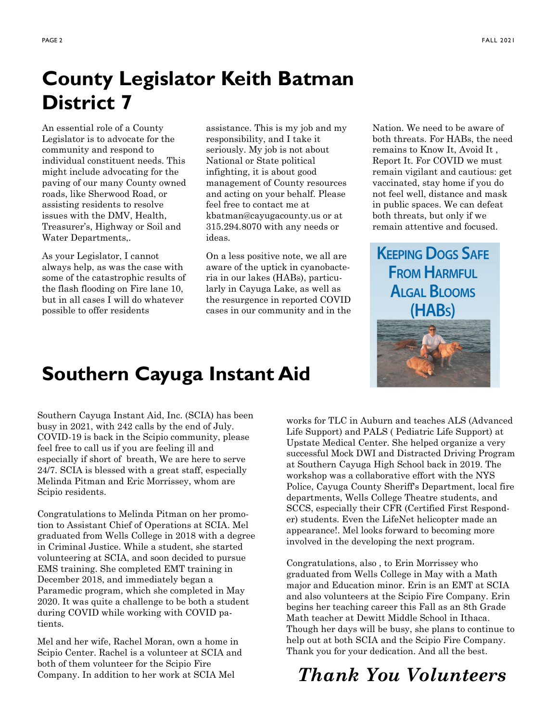# **County Legislator Keith Batman District 7**

An essential role of a County Legislator is to advocate for the community and respond to individual constituent needs. This might include advocating for the paving of our many County owned roads, like Sherwood Road, or assisting residents to resolve issues with the DMV, Health, Treasurer's, Highway or Soil and Water Departments,.

As your Legislator, I cannot always help, as was the case with some of the catastrophic results of the flash flooding on Fire lane 10, but in all cases I will do whatever possible to offer residents

assistance. This is my job and my responsibility, and I take it seriously. My job is not about National or State political infighting, it is about good management of County resources and acting on your behalf. Please feel free to contact me at kbatman@cayugacounty.us or at 315.294.8070 with any needs or ideas.

On a less positive note, we all are aware of the uptick in cyanobacteria in our lakes (HABs), particularly in Cayuga Lake, as well as the resurgence in reported COVID cases in our community and in the Nation. We need to be aware of both threats. For HABs, the need remains to Know It, Avoid It , Report It. For COVID we must remain vigilant and cautious: get vaccinated, stay home if you do not feel well, distance and mask in public spaces. We can defeat both threats, but only if we remain attentive and focused.

**KEEPING DOGS SAFE FROM HARMFUL ALGAL BLOOMS** (HABs)

## **Southern Cayuga Instant Aid**

Southern Cayuga Instant Aid, Inc. (SCIA) has been busy in 2021, with 242 calls by the end of July. COVID-19 is back in the Scipio community, please feel free to call us if you are feeling ill and especially if short of breath, We are here to serve 24/7. SCIA is blessed with a great staff, especially Melinda Pitman and Eric Morrissey, whom are Scipio residents.

Congratulations to Melinda Pitman on her promotion to Assistant Chief of Operations at SCIA. Mel graduated from Wells College in 2018 with a degree in Criminal Justice. While a student, she started volunteering at SCIA, and soon decided to pursue EMS training. She completed EMT training in December 2018, and immediately began a Paramedic program, which she completed in May 2020. It was quite a challenge to be both a student during COVID while working with COVID patients.

Mel and her wife, Rachel Moran, own a home in Scipio Center. Rachel is a volunteer at SCIA and both of them volunteer for the Scipio Fire Company. In addition to her work at SCIA Mel

works for TLC in Auburn and teaches ALS (Advanced Life Support) and PALS ( Pediatric Life Support) at Upstate Medical Center. She helped organize a very successful Mock DWI and Distracted Driving Program at Southern Cayuga High School back in 2019. The workshop was a collaborative effort with the NYS Police, Cayuga County Sheriff's Department, local fire departments, Wells College Theatre students, and SCCS, especially their CFR (Certified First Responder) students. Even the LifeNet helicopter made an appearance!. Mel looks forward to becoming more involved in the developing the next program.

Congratulations, also , to Erin Morrissey who graduated from Wells College in May with a Math major and Education minor. Erin is an EMT at SCIA and also volunteers at the Scipio Fire Company. Erin begins her teaching career this Fall as an 8th Grade Math teacher at Dewitt Middle School in Ithaca. Though her days will be busy, she plans to continue to help out at both SCIA and the Scipio Fire Company. Thank you for your dedication. And all the best.

## *Thank You Volunteers*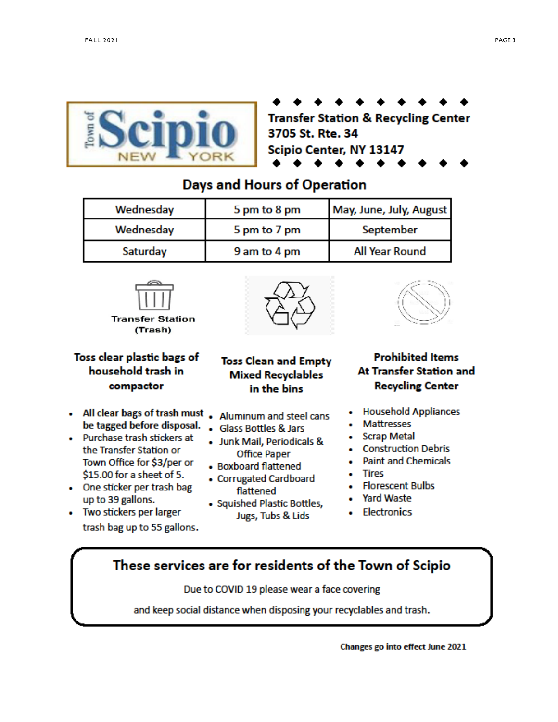

**Transfer Station & Recycling Center** 3705 St. Rte. 34 Scipio Center, NY 13147

### **Days and Hours of Operation**

| Wednesday | 5 pm to 8 pm | May, June, July, August |
|-----------|--------------|-------------------------|
| Wednesday | 5 pm to 7 pm | September               |
| Saturday  | 9 am to 4 pm | <b>All Year Round</b>   |







#### Toss clear plastic bags of household trash in compactor

- All clear bags of trash must . Aluminum and steel cans be tagged before disposal. . Glass Bottles & Jars
- Purchase trash stickers at the Transfer Station or Town Office for \$3/per or \$15.00 for a sheet of 5.
- One sticker per trash bag up to 39 gallons.
- Two stickers per larger trash bag up to 55 gallons.

#### **Toss Clean and Empty Mixed Recyclables** in the bins

- 
- 
- · Junk Mail, Periodicals & **Office Paper**
- Boxboard flattened
- Corrugated Cardboard flattened
- Squished Plastic Bottles, Jugs, Tubs & Lids

#### **Prohibited Items** At Transfer Station and **Recycling Center**

- Household Appliances
- Mattresses
- Scrap Metal
- **Construction Debris**
- · Paint and Chemicals
- Tires
- Florescent Bulbs
- **Yard Waste**
- **Electronics**

## These services are for residents of the Town of Scipio

Due to COVID 19 please wear a face covering

and keep social distance when disposing your recyclables and trash.

Changes go into effect June 2021